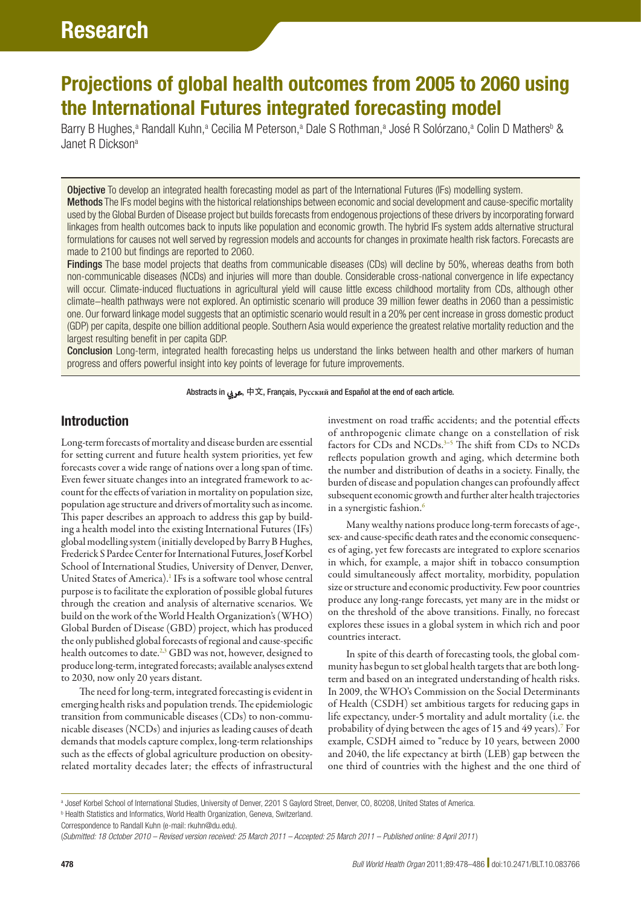# Projections of global health outcomes from 2005 to 2060 using the International Futures integrated forecasting model

Barry B Hughes,<sup>a</sup> Randall Kuhn,<sup>a</sup> Cecilia M Peterson,<sup>a</sup> Dale S Rothman,<sup>a</sup> José R Solórzano,<sup>a</sup> Colin D Mathers<sup>b</sup> & Janet R Dicksona

**Objective** To develop an integrated health forecasting model as part of the International Futures (IFs) modelling system.

Methods The IFs model begins with the historical relationships between economic and social development and cause-specific mortality used by the Global Burden of Disease project but builds forecasts from endogenous projections of these drivers by incorporating forward linkages from health outcomes back to inputs like population and economic growth. The hybrid IFs system adds alternative structural formulations for causes not well served by regression models and accounts for changes in proximate health risk factors. Forecasts are made to 2100 but findings are reported to 2060.

Findings The base model projects that deaths from communicable diseases (CDs) will decline by 50%, whereas deaths from both non-communicable diseases (NCDs) and injuries will more than double. Considerable cross-national convergence in life expectancy will occur. Climate-induced fluctuations in agricultural yield will cause little excess childhood mortality from CDs, although other climate−health pathways were not explored. An optimistic scenario will produce 39 million fewer deaths in 2060 than a pessimistic one. Our forward linkage model suggests that an optimistic scenario would result in a 20% per cent increase in gross domestic product (GDP) per capita, despite one billion additional people. Southern Asia would experience the greatest relative mortality reduction and the largest resulting benefit in per capita GDP.

Conclusion Long-term, integrated health forecasting helps us understand the links between health and other markers of human progress and offers powerful insight into key points of leverage for future improvements.

Abstracts in عريب, 中文, Français, **Pусский** and Español at the end of each article.

# Introduction

Long-term forecasts of mortality and disease burden are essential for setting current and future health system priorities, yet few forecasts cover a wide range of nations over a long span of time. Even fewer situate changes into an integrated framework to account for the effects of variation in mortality on population size, population age structure and drivers of mortality such as income. This paper describes an approach to address this gap by building a health model into the existing International Futures (IFs) global modelling system (initially developed by Barry B Hughes, Frederick S Pardee Center for International Futures, Josef Korbel School of International Studies, University of Denver, Denver, United States of America).<sup>[1](#page-8-0)</sup> IFs is a software tool whose central purpose is to facilitate the exploration of possible global futures through the creation and analysis of alternative scenarios. We build on the work of the World Health Organization's (WHO) Global Burden of Disease (GBD) project, which has produced the only published global forecasts of regional and cause-specific health outcomes to date.<sup>2[,3](#page-8-2)</sup> GBD was not, however, designed to produce long-term, integrated forecasts; available analyses extend to 2030, now only 20 years distant.

The need for long-term, integrated forecasting is evident in emerging health risks and population trends. The epidemiologic transition from communicable diseases (CDs) to non-communicable diseases (NCDs) and injuries as leading causes of death demands that models capture complex, long-term relationships such as the effects of global agriculture production on obesityrelated mortality decades later; the effects of infrastructural investment on road traffic accidents; and the potential effects of anthropogenic climate change on a constellation of risk factors for CDs and NCDs.<sup>3-5</sup> The shift from CDs to NCDs reflects population growth and aging, which determine both the number and distribution of deaths in a society. Finally, the burden of disease and population changes can profoundly affect subsequent economic growth and further alter health trajectories in a synergistic fashion.<sup>[6](#page-8-4)</sup>

Many wealthy nations produce long-term forecasts of age-, sex- and cause-specific death rates and the economic consequences of aging, yet few forecasts are integrated to explore scenarios in which, for example, a major shift in tobacco consumption could simultaneously affect mortality, morbidity, population size or structure and economic productivity. Few poor countries produce any long-range forecasts, yet many are in the midst or on the threshold of the above transitions. Finally, no forecast explores these issues in a global system in which rich and poor countries interact.

In spite of this dearth of forecasting tools, the global community has begun to set global health targets that are both longterm and based on an integrated understanding of health risks. In 2009, the WHO's Commission on the Social Determinants of Health (CSDH) set ambitious targets for reducing gaps in life expectancy, under-5 mortality and adult mortality (i.e. the probability of dying between the ages of 15 and 49 years).[7](#page-8-5) For example, CSDH aimed to "reduce by 10 years, between 2000 and 2040, the life expectancy at birth (LEB) gap between the one third of countries with the highest and the one third of

a Josef Korbel School of International Studies, University of Denver, 2201 S Gaylord Street, Denver, CO, 80208, United States of America.

**b** Health Statistics and Informatics, World Health Organization, Geneva, Switzerland.

Correspondence to Randall Kuhn (e-mail: rkuhn@du.edu).

<sup>(</sup>*Submitted: 18 October 2010 – Revised version received: 25 March 2011 – Accepted: 25 March 2011 – Published online: 8 April 2011* )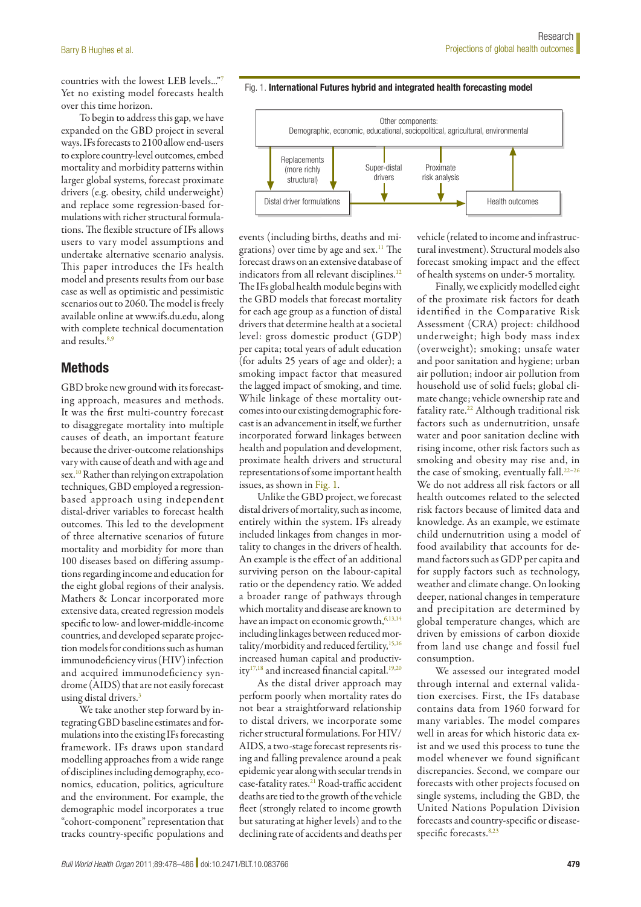countries with the lowest LEB levels...["7](#page-8-5) Yet no existing model forecasts health over this time horizon.

To begin to address this gap, we have expanded on the GBD project in several ways. IFs forecasts to 2100 allow end-users to explore country-level outcomes, embed mortality and morbidity patterns within larger global systems, forecast proximate drivers (e.g. obesity, child underweight) and replace some regression-based formulations with richer structural formulations. The flexible structure of IFs allows users to vary model assumptions and undertake alternative scenario analysis. This paper introduces the IFs health model and presents results from our base case as well as optimistic and pessimistic scenarios out to 2060. The model is freely available online at [www.ifs.du.edu](http://www.ifs.du.edu), along with complete technical documentation and results.<sup>8[,9](#page-8-7)</sup>

# Methods

GBD broke new ground with its forecasting approach, measures and methods. It was the first multi-country forecast to disaggregate mortality into multiple causes of death, an important feature because the driver-outcome relationships vary with cause of death and with age and sex.<sup>10</sup> Rather than relying on extrapolation techniques, GBD employed a regressionbased approach using independent distal-driver variables to forecast health outcomes. This led to the development of three alternative scenarios of future mortality and morbidity for more than 100 diseases based on differing assumptions regarding income and education for the eight global regions of their analysis. Mathers & Loncar incorporated more extensive data, created regression models specific to low- and lower-middle-income countries, and developed separate projection models for conditions such as human immunodeficiency virus (HIV) infection and acquired immunodeficiency syndrome (AIDS) that are not easily forecast using distal drivers.<sup>3</sup>

We take another step forward by integrating GBD baseline estimates and formulations into the existing IFs forecasting framework. IFs draws upon standard modelling approaches from a wide range of disciplines including demography, economics, education, politics, agriculture and the environment. For example, the demographic model incorporates a true "cohort-component" representation that tracks country-specific populations and

#### <span id="page-1-0"></span>Fig. 1. International Futures hybrid and integrated health forecasting model



events (including births, deaths and migrations) over time by age and  $sex.<sup>11</sup>$  The forecast draws on an extensive database of indicators from all relevant disciplines.<sup>[12](#page-8-10)</sup> The IFs global health module begins with the GBD models that forecast mortality for each age group as a function of distal drivers that determine health at a societal level: gross domestic product (GDP) per capita; total years of adult education (for adults 25 years of age and older); a smoking impact factor that measured the lagged impact of smoking, and time. While linkage of these mortality outcomes into our existing demographic forecast is an advancement in itself, we further incorporated forward linkages between health and population and development, proximate health drivers and structural representations of some important health issues, as shown in [Fig.](#page-1-0) 1.

Unlike the GBD project, we forecast distal drivers of mortality, such as income, entirely within the system. IFs already included linkages from changes in mortality to changes in the drivers of health. An example is the effect of an additional surviving person on the labour-capital ratio or the dependency ratio. We added a broader range of pathways through which mortality and disease are known to have an impact on economic growth, [6,](#page-8-4)[13](#page-8-11),[14](#page-8-12) including linkages between reduced mor-tality/morbidity and reduced fertility,<sup>[15](#page-8-13),[16](#page-8-14)</sup> increased human capital and productiv-ity<sup>17,18</sup> and increased financial capital.<sup>[19](#page-8-17),[20](#page-8-18)</sup>

As the distal driver approach may perform poorly when mortality rates do not bear a straightforward relationship to distal drivers, we incorporate some richer structural formulations. For HIV/ AIDS, a two-stage forecast represents rising and falling prevalence around a peak epidemic year along with secular trends in case-fatality rates.[21](#page-8-19) Road-traffic accident deaths are tied to the growth of the vehicle fleet (strongly related to income growth but saturating at higher levels) and to the declining rate of accidents and deaths per

vehicle (related to income and infrastructural investment). Structural models also forecast smoking impact and the effect of health systems on under-5 mortality.

Finally, we explicitly modelled eight of the proximate risk factors for death identified in the Comparative Risk Assessment (CRA) project: childhood underweight; high body mass index (overweight); smoking; unsafe water and poor sanitation and hygiene; urban air pollution; indoor air pollution from household use of solid fuels; global climate change; vehicle ownership rate and fatality rate.<sup>22</sup> Although traditional risk factors such as undernutrition, unsafe water and poor sanitation decline with rising income, other risk factors such as smoking and obesity may rise and, in the case of smoking, eventually fall. $22-26$  $22-26$ We do not address all risk factors or all health outcomes related to the selected risk factors because of limited data and knowledge. As an example, we estimate child undernutrition using a model of food availability that accounts for demand factors such as GDP per capita and for supply factors such as technology, weather and climate change. On looking deeper, national changes in temperature and precipitation are determined by global temperature changes, which are driven by emissions of carbon dioxide from land use change and fossil fuel consumption.

We assessed our integrated model through internal and external validation exercises. First, the IFs database contains data from 1960 forward for many variables. The model compares well in areas for which historic data exist and we used this process to tune the model whenever we found significant discrepancies. Second, we compare our forecasts with other projects focused on single systems, including the GBD, the United Nations Population Division forecasts and country-specific or disease-specific forecasts.<sup>[8](#page-8-6),[23](#page-8-22)</sup>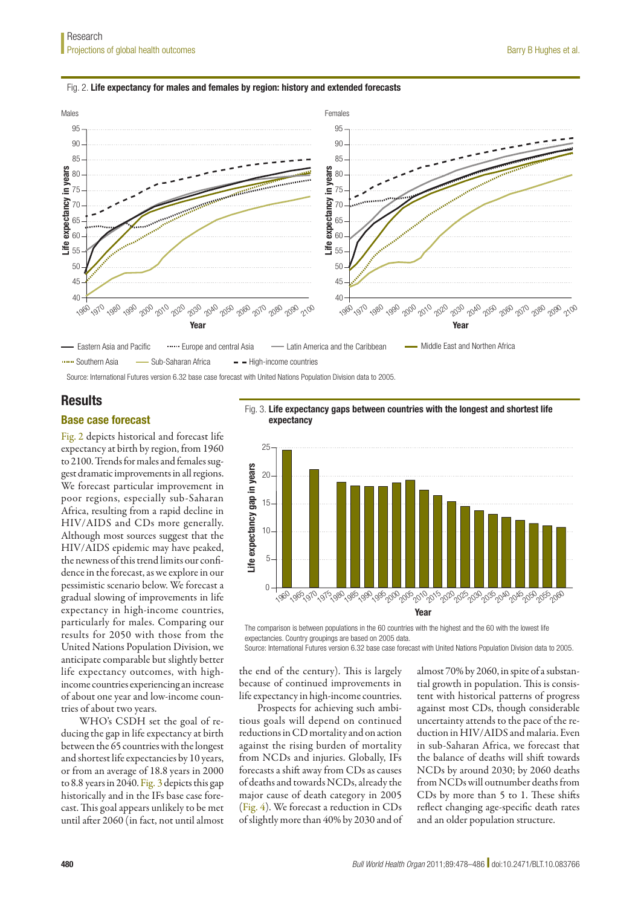#### <span id="page-2-0"></span>Fig. 2. Life expectancy for males and females by region: history and extended forecasts



Source: International Futures version 6.32 base case forecast with United Nations Population Division data to 2005.

### **Results**

#### Base case forecast

[Fig.](#page-2-0) 2 depicts historical and forecast life expectancy at birth by region, from 1960 to 2100. Trends for males and females suggest dramatic improvements in all regions. We forecast particular improvement in poor regions, especially sub-Saharan Africa, resulting from a rapid decline in HIV/AIDS and CDs more generally. Although most sources suggest that the HIV/AIDS epidemic may have peaked, the newness of this trend limits our confidence in the forecast, as we explore in our pessimistic scenario below. We forecast a gradual slowing of improvements in life expectancy in high-income countries, particularly for males. Comparing our results for 2050 with those from the United Nations Population Division, we anticipate comparable but slightly better life expectancy outcomes, with highincome countries experiencing an increase of about one year and low-income countries of about two years.

WHO's CSDH set the goal of reducing the gap in life expectancy at birth between the 65 countries with the longest and shortest life expectancies by 10 years, or from an average of 18.8 years in 2000 to 8.8 years in 2040. [Fig.](#page-2-1) 3 depicts this gap historically and in the IFs base case forecast. This goal appears unlikely to be met until after 2060 (in fact, not until almost

<span id="page-2-1"></span>Fig. 3. Life expectancy gaps between countries with the longest and shortest life expectancy



The comparison is between populations in the 60 countries with the highest and the 60 with the lowest life expectancies. Country groupings are based on 2005 data.

Source: International Futures version 6.32 base case forecast with United Nations Population Division data to 2005.

the end of the century). This is largely because of continued improvements in life expectancy in high-income countries.

Prospects for achieving such ambitious goals will depend on continued reductions in CD mortality and on action against the rising burden of mortality from NCDs and injuries. Globally, IFs forecasts a shift away from CDs as causes of deaths and towards NCDs, already the major cause of death category in 2005 [\(Fig.](#page-3-0) 4). We forecast a reduction in CDs of slightly more than 40% by 2030 and of almost 70% by 2060, in spite of a substantial growth in population. This is consistent with historical patterns of progress against most CDs, though considerable uncertainty attends to the pace of the reduction in HIV/AIDS and malaria. Even in sub-Saharan Africa, we forecast that the balance of deaths will shift towards NCDs by around 2030; by 2060 deaths from NCDs will outnumber deaths from CDs by more than 5 to 1. These shifts reflect changing age-specific death rates and an older population structure.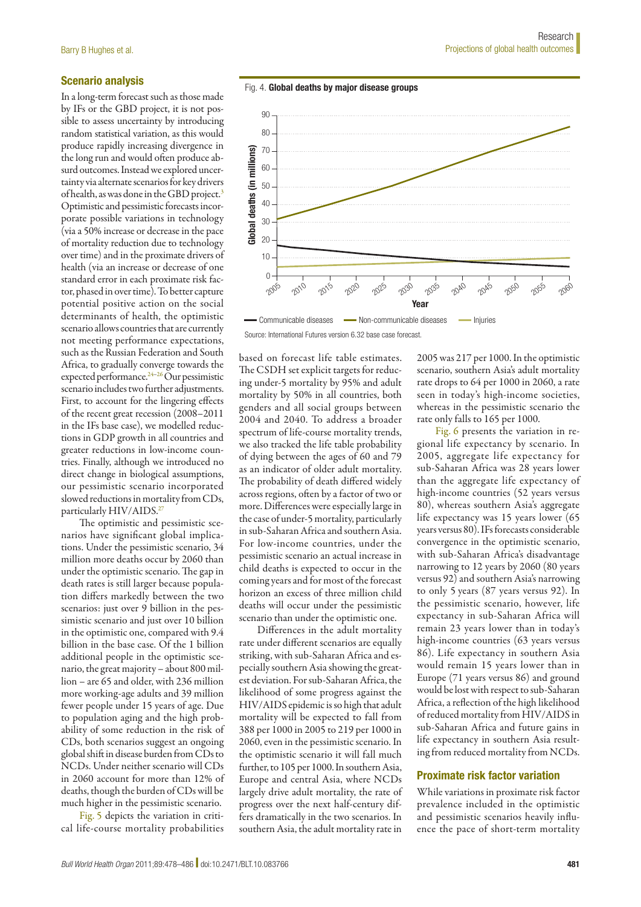### Scenario analysis

In a long-term forecast such as those made by IFs or the GBD project, it is not possible to assess uncertainty by introducing random statistical variation, as this would produce rapidly increasing divergence in the long run and would often produce absurd outcomes. Instead we explored uncertainty via alternate scenarios for key drivers of health, as was done in the GBD project.<sup>3</sup> Optimistic and pessimistic forecasts incorporate possible variations in technology (via a 50% increase or decrease in the pace of mortality reduction due to technology over time) and in the proximate drivers of health (via an increase or decrease of one standard error in each proximate risk factor, phased in over time). To better capture potential positive action on the social determinants of health, the optimistic scenario allows countries that are currently not meeting performance expectations, such as the Russian Federation and South Africa, to gradually converge towards the expected performance[.24–](#page-8-23)[26](#page-8-21) Our pessimistic scenario includes two further adjustments. First, to account for the lingering effects of the recent great recession (2008–2011 in the IFs base case), we modelled reductions in GDP growth in all countries and greater reductions in low-income countries. Finally, although we introduced no direct change in biological assumptions, our pessimistic scenario incorporated slowed reductions in mortality from CDs, particularly HIV/AIDS.<sup>27</sup>

The optimistic and pessimistic scenarios have significant global implications. Under the pessimistic scenario, 34 million more deaths occur by 2060 than under the optimistic scenario. The gap in death rates is still larger because population differs markedly between the two scenarios: just over 9 billion in the pessimistic scenario and just over 10 billion in the optimistic one, compared with 9.4 billion in the base case. Of the 1 billion additional people in the optimistic scenario, the great majority – about 800 million – are 65 and older, with 236 million more working-age adults and 39 million fewer people under 15 years of age. Due to population aging and the high probability of some reduction in the risk of CDs, both scenarios suggest an ongoing global shift in disease burden from CDs to NCDs. Under neither scenario will CDs in 2060 account for more than 12% of deaths, though the burden of CDs will be much higher in the pessimistic scenario.

[Fig.](#page-4-0) 5 depicts the variation in critical life-course mortality probabilities

<span id="page-3-0"></span>



Source: International Futures version 6.32 base case forecast.

based on forecast life table estimates. The CSDH set explicit targets for reducing under-5 mortality by 95% and adult mortality by 50% in all countries, both genders and all social groups between 2004 and 2040. To address a broader spectrum of life-course mortality trends, we also tracked the life table probability of dying between the ages of 60 and 79 as an indicator of older adult mortality. The probability of death differed widely across regions, often by a factor of two or more. Differences were especially large in the case of under-5 mortality, particularly in sub-Saharan Africa and southern Asia. For low-income countries, under the pessimistic scenario an actual increase in child deaths is expected to occur in the coming years and for most of the forecast horizon an excess of three million child deaths will occur under the pessimistic scenario than under the optimistic one.

Differences in the adult mortality rate under different scenarios are equally striking, with sub-Saharan Africa and especially southern Asia showing the greatest deviation. For sub-Saharan Africa, the likelihood of some progress against the HIV/AIDS epidemic is so high that adult mortality will be expected to fall from 388 per 1000 in 2005 to 219 per 1000 in 2060, even in the pessimistic scenario. In the optimistic scenario it will fall much further, to 105 per 1000. In southern Asia, Europe and central Asia, where NCDs largely drive adult mortality, the rate of progress over the next half-century differs dramatically in the two scenarios. In southern Asia, the adult mortality rate in

2005 was 217 per 1000. In the optimistic scenario, southern Asia's adult mortality rate drops to 64 per 1000 in 2060, a rate seen in today's high-income societies, whereas in the pessimistic scenario the rate only falls to 165 per 1000.

[Fig.](#page-5-0) 6 presents the variation in regional life expectancy by scenario. In 2005, aggregate life expectancy for sub-Saharan Africa was 28 years lower than the aggregate life expectancy of high-income countries (52 years versus 80), whereas southern Asia's aggregate life expectancy was 15 years lower (65 years versus 80). IFs forecasts considerable convergence in the optimistic scenario, with sub-Saharan Africa's disadvantage narrowing to 12 years by 2060 (80 years versus 92) and southern Asia's narrowing to only 5 years (87 years versus 92). In the pessimistic scenario, however, life expectancy in sub-Saharan Africa will remain 23 years lower than in today's high-income countries (63 years versus 86). Life expectancy in southern Asia would remain 15 years lower than in Europe (71 years versus 86) and ground would be lost with respect to sub-Saharan Africa, a reflection of the high likelihood of reduced mortality from HIV/AIDS in sub-Saharan Africa and future gains in life expectancy in southern Asia resulting from reduced mortality from NCDs.

#### Proximate risk factor variation

While variations in proximate risk factor prevalence included in the optimistic and pessimistic scenarios heavily influence the pace of short-term mortality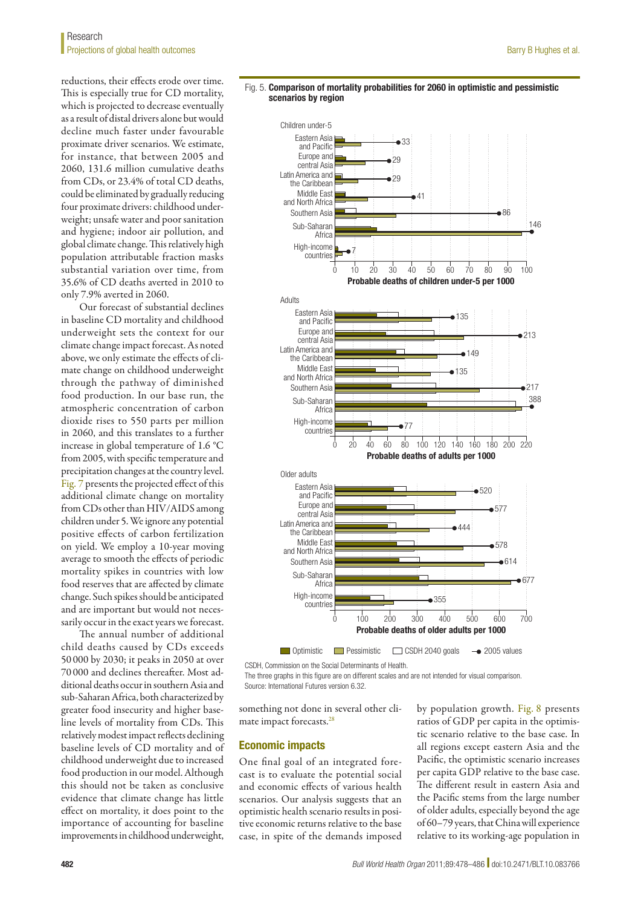reductions, their effects erode over time. This is especially true for CD mortality, which is projected to decrease eventually as a result of distal drivers alone but would decline much faster under favourable proximate driver scenarios. We estimate, for instance, that between 2005 and 2060, 131.6 million cumulative deaths from CDs, or 23.4% of total CD deaths, could be eliminated by gradually reducing four proximate drivers: childhood underweight; unsafe water and poor sanitation and hygiene; indoor air pollution, and global climate change. This relatively high population attributable fraction masks substantial variation over time, from 35.6% of CD deaths averted in 2010 to only 7.9% averted in 2060.

Our forecast of substantial declines in baseline CD mortality and childhood underweight sets the context for our climate change impact forecast. As noted above, we only estimate the effects of climate change on childhood underweight through the pathway of diminished food production. In our base run, the atmospheric concentration of carbon dioxide rises to 550 parts per million in 2060, and this translates to a further increase in global temperature of 1.6 °C from 2005, with specific temperature and precipitation changes at the country level. [Fig.](#page-5-1) 7 presents the projected effect of this additional climate change on mortality from CDs other than HIV/AIDS among children under 5. We ignore any potential positive effects of carbon fertilization on yield. We employ a 10-year moving average to smooth the effects of periodic mortality spikes in countries with low food reserves that are affected by climate change. Such spikes should be anticipated and are important but would not necessarily occur in the exact years we forecast.

The annual number of additional child deaths caused by CDs exceeds 50 000 by 2030; it peaks in 2050 at over 70 000 and declines thereafter. Most additional deaths occur in southern Asia and sub-Saharan Africa, both characterized by greater food insecurity and higher baseline levels of mortality from CDs. This relatively modest impact reflects declining baseline levels of CD mortality and of childhood underweight due to increased food production in our model. Although this should not be taken as conclusive evidence that climate change has little effect on mortality, it does point to the importance of accounting for baseline improvements in childhood underweight,

<span id="page-4-0"></span>



CSDH, Commission on the Social Determinants of Health.

The three graphs in this figure are on different scales and are not intended for visual comparison. Source: International Futures version 6.32.

something not done in several other climate impact forecasts.<sup>28</sup>

#### Economic impacts

One final goal of an integrated forecast is to evaluate the potential social and economic effects of various health scenarios. Our analysis suggests that an optimistic health scenario results in positive economic returns relative to the base case, in spite of the demands imposed by population growth. [Fig.](#page-6-0) 8 presents ratios of GDP per capita in the optimistic scenario relative to the base case. In all regions except eastern Asia and the Pacific, the optimistic scenario increases per capita GDP relative to the base case. The different result in eastern Asia and the Pacific stems from the large number of older adults, especially beyond the age of 60–79 years, that China will experience relative to its working-age population in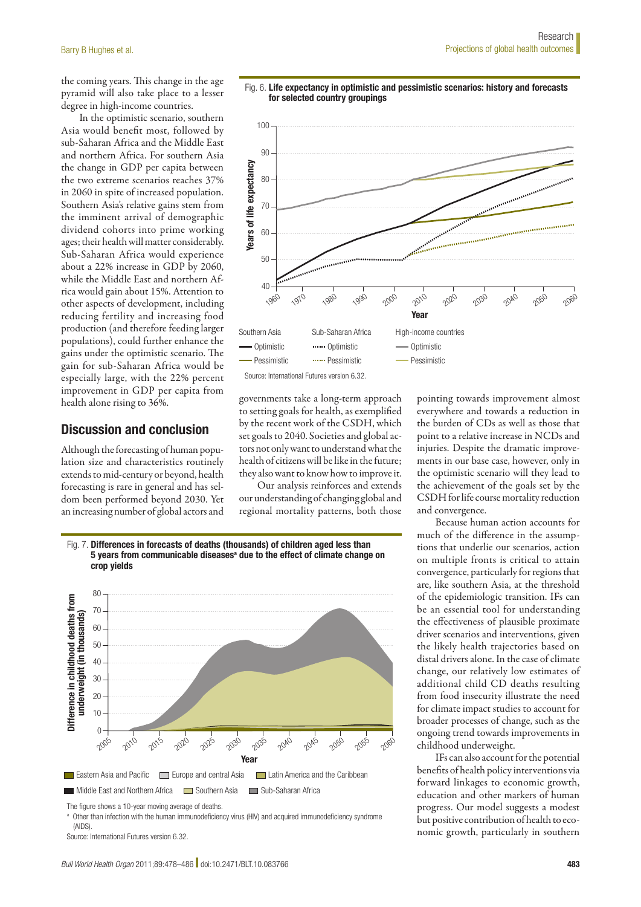the coming years. This change in the age pyramid will also take place to a lesser degree in high-income countries.

In the optimistic scenario, southern Asia would benefit most, followed by sub-Saharan Africa and the Middle East and northern Africa. For southern Asia the change in GDP per capita between the two extreme scenarios reaches 37% in 2060 in spite of increased population. Southern Asia's relative gains stem from the imminent arrival of demographic dividend cohorts into prime working ages; their health will matter considerably. Sub-Saharan Africa would experience about a 22% increase in GDP by 2060, while the Middle East and northern Africa would gain about 15%. Attention to other aspects of development, including reducing fertility and increasing food production (and therefore feeding larger populations), could further enhance the gains under the optimistic scenario. The gain for sub-Saharan Africa would be especially large, with the 22% percent improvement in GDP per capita from health alone rising to 36%.

# Discussion and conclusion

Although the forecasting of human population size and characteristics routinely extends to mid-century or beyond, health forecasting is rare in general and has seldom been performed beyond 2030. Yet an increasing number of global actors and



<span id="page-5-0"></span>Fig. 6. Life expectancy in optimistic and pessimistic scenarios: history and forecasts

governments take a long-term approach to setting goals for health, as exemplified by the recent work of the CSDH, which set goals to 2040. Societies and global actors not only want to understand what the health of citizens will be like in the future; they also want to know how to improve it.

Our analysis reinforces and extends our understanding of changing global and regional mortality patterns, both those

<span id="page-5-1"></span>Fig. 7. Differences in forecasts of deaths (thousands) of children aged less than 5 years from communicable diseases<sup>a</sup> due to the effect of climate change on crop yields



The figure shows a 10-year moving average of deaths.

<sup>a</sup> Other than infection with the human immunodeficiency virus (HIV) and acquired immunodeficiency syndrome (AIDS).

Source: International Futures version 6.32.

pointing towards improvement almost everywhere and towards a reduction in the burden of CDs as well as those that point to a relative increase in NCDs and injuries. Despite the dramatic improvements in our base case, however, only in the optimistic scenario will they lead to the achievement of the goals set by the CSDH for life course mortality reduction and convergence.

Because human action accounts for much of the difference in the assumptions that underlie our scenarios, action on multiple fronts is critical to attain convergence, particularly for regions that are, like southern Asia, at the threshold of the epidemiologic transition. IFs can be an essential tool for understanding the effectiveness of plausible proximate driver scenarios and interventions, given the likely health trajectories based on distal drivers alone. In the case of climate change, our relatively low estimates of additional child CD deaths resulting from food insecurity illustrate the need for climate impact studies to account for broader processes of change, such as the ongoing trend towards improvements in childhood underweight.

IFs can also account for the potential benefits of health policy interventions via forward linkages to economic growth, education and other markers of human progress. Our model suggests a modest but positive contribution of health to economic growth, particularly in southern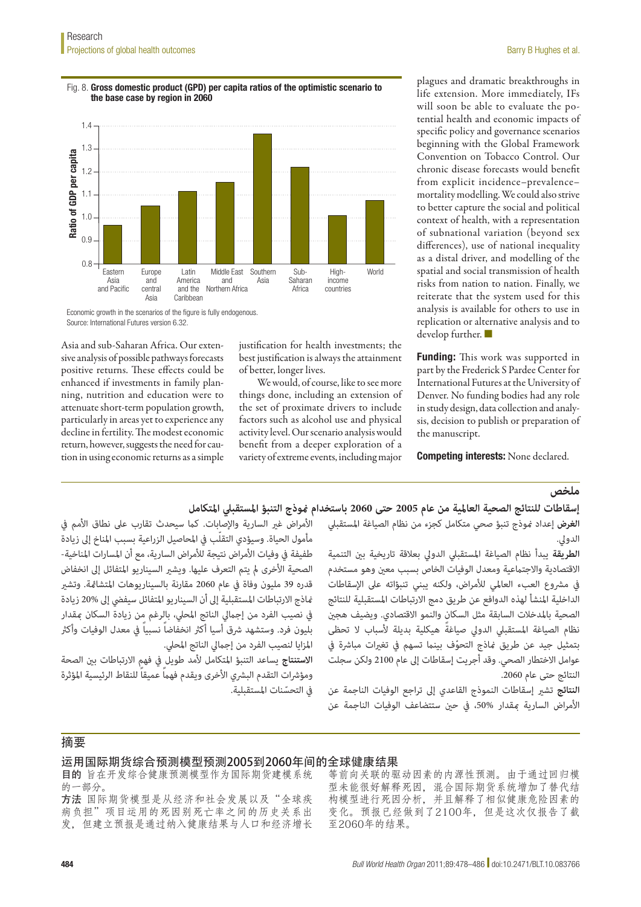### <span id="page-6-0"></span>Fig. 8. Gross domestic product (GPD) per capita ratios of the optimistic scenario to the base case by region in 2060



Economic growth in the scenarios of the figure is fully endogenous. Source: International Futures version 6.32.

Asia and sub-Saharan Africa. Our extensive analysis of possible pathways forecasts positive returns. These effects could be enhanced if investments in family planning, nutrition and education were to attenuate short-term population growth, particularly in areas yet to experience any decline in fertility. The modest economic return, however, suggests the need for caution in using economic returns as a simple justification for health investments; the best justification is always the attainment of better, longer lives.

We would, of course, like to see more things done, including an extension of the set of proximate drivers to include factors such as alcohol use and physical activity level. Our scenario analysis would benefit from a deeper exploration of a variety of extreme events, including major

plagues and dramatic breakthroughs in life extension. More immediately, IFs will soon be able to evaluate the potential health and economic impacts of specific policy and governance scenarios beginning with the Global Framework Convention on Tobacco Control. Our chronic disease forecasts would benefit from explicit incidence–prevalence– mortality modelling. We could also strive to better capture the social and political context of health, with a representation of subnational variation (beyond sex differences), use of national inequality as a distal driver, and modelling of the spatial and social transmission of health risks from nation to nation. Finally, we reiterate that the system used for this analysis is available for others to use in replication or alternative analysis and to develop further. ■

Funding: This work was supported in part by the Frederick S Pardee Center for International Futures at the University of Denver. No funding bodies had any role in study design, data collection and analysis, decision to publish or preparation of the manuscript.

Competing interests: None declared.

# **ملخص**

**إسقاطات للنتائج الصحية العاملية من عام 2005 حتى 2060 باستخدام منوذج التنبؤ املستقبيل املتكامل**

**الغرض** إعداد منوذج تنبؤ صحي متكامل كجزء من نظام الصياغة املستقبيل الدويل.

**الطريقة** يبدأ نظام الصياغة املستقبيل الدويل بعالقة تاريخية بني التنمية االقتصادية واالجتامعية ومعدل الوفيات الخاص بسبب معني وهو مستخدم يف مرشوع العبء العاملي لألمراض، ولكنه يبني تنبؤاته عىل اإلسقاطات الداخلية املنشأ لهذه الدوافع عن طريق دمج االرتباطات املستقبلية للنتائج الصحية باملدخالت السابقة مثل السكان والنمو االقتصادي. ويضيف هجني نظام الصياغة المستقبلى الدولى صياغة هيكلية بديلة لأسباب لا تحظى بتمثيل جيد عن طريق مَاذج التحوّف بينما تسهم في تغيرات مباشرة في عوامل االختطار الصحي. وقد أجريت إسقاطات إىل عام 2100 ولكن سجلت النتائج حتى عام .2060

**النتائج** تشري إسقاطات النموذج القاعدي إىل تراجع الوفيات الناجمة عن األمراض السارية مبقدار ،50% يف حني ستتضاعف الوفيات الناجمة عن

الأمراض غير السارية والإصابات. كما سيحدث تقارب على نطاق الأمم في مأمول الحياة. وسيؤدي التقلّب في المحاصيل الزراعية بسبب المناخ إلى زيادة طفيفة في وفيات الأمراض نتيجة للأمراض السارية، مع أن المسارات المناخية-الصحية الأخرى لم يتم التعرف عليها. ويشير السيناريو المتفائل إلى انخفاض قدره 39 مليون وفاة يف عام 2060 مقارنة بالسيناريوهات املتشامئة. وتشري ماذج الارتباطات المستقبلية إلى أن السيناريو المتفائل سيفضى إلى %20 زيادة يف نصيب الفرد من إجاميل الناتج املحيل، بالرغم من زيادة السكان مبقدار بليون فرد. وستشهد شرق أسيا أكثر انخفاضا نسبيا في معدل الوفيات وأكثر املزايا لنصيب الفرد من إجاميل الناتج املحيل.

**االستنتاج** يساعد التنبؤ املتكامل ألمد طويل يف فهم االرتباطات بني الصحة ومؤشرات التقدم البشري الأخرى ويقدم فهما عميقاً للنقاط الرئيسية المؤثرة ّ يف التحسنات املستقبلية.

### 摘要

# 运用国际期货综合预测模型预测2005到2060年间的全球健康结果

目的 旨在开发综合健康预测模型作为国际期货建模系统 的一部分。

方法 国际期货模型是从经济和社会发展以及"全球疾 病负担"项目运用的死因别死亡率之间的历史关系出 发,但建立预报是通过纳入健康结果与人口和经济增长

等前向关联的驱动因素的内源性预测。由于通过回归模 型未能很好解释死因,混合国际期货系统增加了替代结 构模型进行死因分析,并且解释了相似健康危险因素的 变化。预报已经做到了2100年,但是这次仅报告了截 至2060年的结果。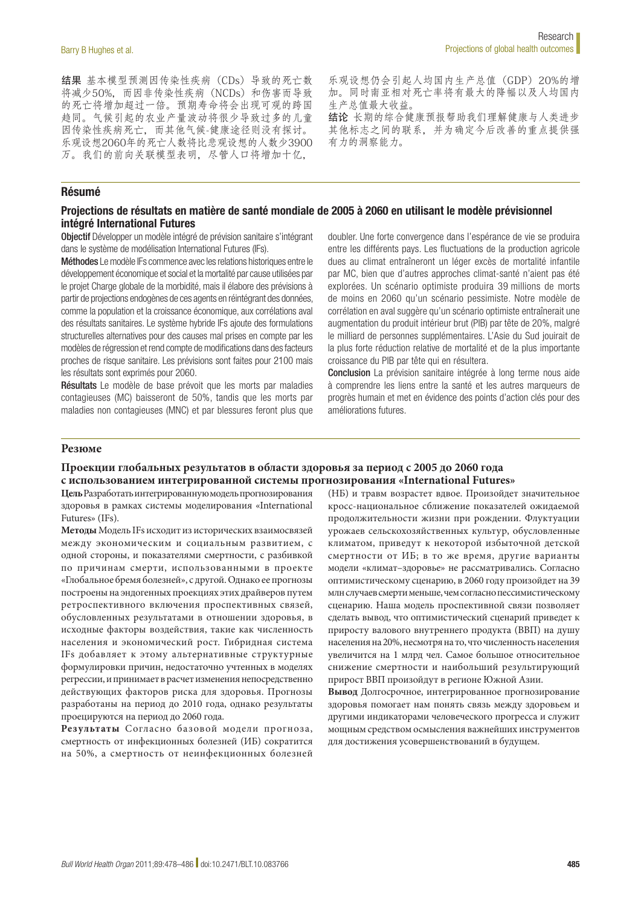结果 基本模型预测因传染性疾病(CDs)导致的死亡数 将减少50%, 而因非传染性疾病 (NCDs) 和伤害而导致 的死亡将增加超过一倍。预期寿命将会出现可观的跨国 趋同。气候引起的农业产量波动将很少导致过多的儿童 因传染性疾病死亡,而其他气候-健康途径则没有探讨。 乐观设想2060年的死亡人数将比悲观设想的人数少3900 万。我们的前向关联模型表明,尽管人口将增加十亿,

### Résumé

### Projections de résultats en matière de santé mondiale de 2005 à 2060 en utilisant le modèle prévisionnel intégré International Futures

生产总值最大收益。

有力的洞察能力。

Objectif Développer un modèle intégré de prévision sanitaire s'intégrant dans le système de modélisation International Futures (IFs).

Méthodes Le modèle IFs commence avec les relations historiques entre le développement économique et social et la mortalité par cause utilisées par le projet Charge globale de la morbidité, mais il élabore des prévisions à partir de projections endogènes de ces agents en réintégrant des données, comme la population et la croissance économique, aux corrélations aval des résultats sanitaires. Le système hybride IFs ajoute des formulations structurelles alternatives pour des causes mal prises en compte par les modèles de régression et rend compte de modifications dans des facteurs proches de risque sanitaire. Les prévisions sont faites pour 2100 mais les résultats sont exprimés pour 2060.

Résultats Le modèle de base prévoit que les morts par maladies contagieuses (MC) baisseront de 50%, tandis que les morts par maladies non contagieuses (MNC) et par blessures feront plus que doubler. Une forte convergence dans l'espérance de vie se produira entre les différents pays. Les fluctuations de la production agricole dues au climat entraîneront un léger excès de mortalité infantile par MC, bien que d'autres approches climat-santé n'aient pas été explorées. Un scénario optimiste produira 39 millions de morts de moins en 2060 qu'un scénario pessimiste. Notre modèle de corrélation en aval suggère qu'un scénario optimiste entraînerait une augmentation du produit intérieur brut (PIB) par tête de 20%, malgré le milliard de personnes supplémentaires. L'Asie du Sud jouirait de la plus forte réduction relative de mortalité et de la plus importante croissance du PIB par tête qui en résultera.

乐观设想仍会引起人均国内生产总值(GDP)20%的增 加。同时南亚相对死亡率将有最大的降幅以及人均国内

结论 长期的综合健康预报帮助我们理解健康与人类进步 其他标志之间的联系,并为确定今后改善的重点提供强

Conclusion La prévision sanitaire intégrée à long terme nous aide à comprendre les liens entre la santé et les autres marqueurs de progrès humain et met en évidence des points d'action clés pour des améliorations futures.

#### **Резюме**

### **Проекции глобальных результатов в области здоровья за период с 2005 до 2060 года с использованием интегрированной системы прогнозирования «International Futures»**

**Цель** Разработать интегрированную модель прогнозирования здоровья в рамках системы моделирования «International Futures» (IFs).

**Методы** Модель IFs исходит из исторических взаимосвязей между экономическим и социальным развитием, с одной стороны, и показателями смертности, с разбивкой по причинам смерти, использованными в проекте «Глобальное бремя болезней», с другой. Однако ее прогнозы построены на эндогенных проекциях этих драйверов путем ретроспективного включения проспективных связей, обусловленных результатами в отношении здоровья, в исходные факторы воздействия, такие как численность населения и экономический рост. Гибридная система IFs добавляет к этому альтернативные структурные формулировки причин, недостаточно учтенных в моделях регрессии, и принимает в расчет изменения непосредственно действующих факторов риска для здоровья. Прогнозы разработаны на период до 2010 года, однако результаты проецируются на период до 2060 года.

**Результаты** Согласно базовой модели прогноза, смертность от инфекционных болезней (ИБ) сократится на 50%, а смертность от неинфекционных болезней

(НБ) и травм возрастет вдвое. Произойдет значительное кросс-национальное сближение показателей ожидаемой продолжительности жизни при рождении. Флуктуации урожаев сельскохозяйственных культур, обусловленные климатом, приведут к некоторой избыточной детской смертности от ИБ; в то же время, другие варианты модели «климат–здоровье» не рассматривались. Согласно оптимистическому сценарию, в 2060 году произойдет на 39 млн случаев смерти меньше, чем согласно пессимистическому сценарию. Наша модель проспективной связи позволяет сделать вывод, что оптимистический сценарий приведет к приросту валового внутреннего продукта (ВВП) на душу населения на 20%, несмотря на то, что численность населения увеличится на 1 млрд чел. Самое большое относительное снижение смертности и наибольший результирующий прирост ВВП произойдут в регионе Южной Азии.

**Вывод** Долгосрочное, интегрированное прогнозирование здоровья помогает нам понять связь между здоровьем и другими индикаторами человеческого прогресса и служит мощным средством осмысления важнейших инструментов для достижения усовершенствований в будущем.